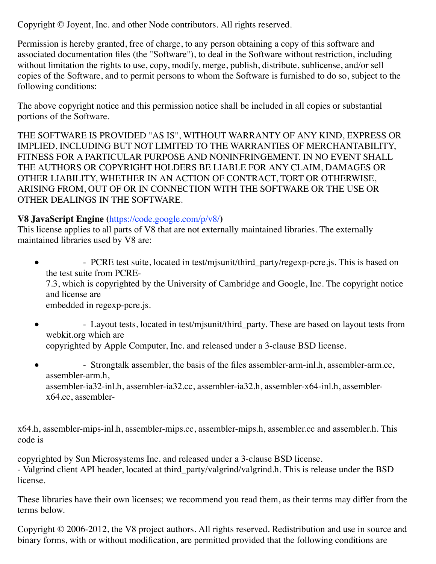Copyright © Joyent, Inc. and other Node contributors. All rights reserved.

Permission is hereby granted, free of charge, to any person obtaining a copy of this software and associated documentation files (the "Software"), to deal in the Software without restriction, including without limitation the rights to use, copy, modify, merge, publish, distribute, sublicense, and/or sell copies of the Software, and to permit persons to whom the Software is furnished to do so, subject to the following conditions:

The above copyright notice and this permission notice shall be included in all copies or substantial portions of the Software.

THE SOFTWARE IS PROVIDED "AS IS", WITHOUT WARRANTY OF ANY KIND, EXPRESS OR IMPLIED, INCLUDING BUT NOT LIMITED TO THE WARRANTIES OF MERCHANTABILITY, FITNESS FOR A PARTICULAR PURPOSE AND NONINFRINGEMENT. IN NO EVENT SHALL THE AUTHORS OR COPYRIGHT HOLDERS BE LIABLE FOR ANY CLAIM, DAMAGES OR OTHER LIABILITY, WHETHER IN AN ACTION OF CONTRACT, TORT OR OTHERWISE, ARISING FROM, OUT OF OR IN CONNECTION WITH THE SOFTWARE OR THE USE OR OTHER DEALINGS IN THE SOFTWARE.

#### **V8 JavaScript Engine (**https://code.google.com/p/v8/**)**

This license applies to all parts of V8 that are not externally maintained libraries. The externally maintained libraries used by V8 are:

- PCRE test suite, located in test/misunit/third party/regexp-pcre.js. This is based on  $\bullet$ the test suite from PCRE-

7.3, which is copyrighted by the University of Cambridge and Google, Inc. The copyright notice and license are

embedded in regexp-pcre.js.

- Layout tests, located in test/mjsunit/third\_party. These are based on layout tests from  $\bullet$ webkit.org which are copyrighted by Apple Computer, Inc. and released under a 3-clause BSD license.

- Strongtalk assembler, the basis of the files assembler-arm-inl.h, assembler-arm.cc,  $\bullet$ assembler-arm.h, assembler-ia32-inl.h, assembler-ia32.cc, assembler-ia32.h, assembler-x64-inl.h, assemblerx64.cc, assembler-

x64.h, assembler-mips-inl.h, assembler-mips.cc, assembler-mips.h, assembler.cc and assembler.h. This code is

copyrighted by Sun Microsystems Inc. and released under a 3-clause BSD license. - Valgrind client API header, located at third\_party/valgrind/valgrind.h. This is release under the BSD license.

These libraries have their own licenses; we recommend you read them, as their terms may differ from the terms below.

Copyright © 2006-2012, the V8 project authors. All rights reserved. Redistribution and use in source and binary forms, with or without modification, are permitted provided that the following conditions are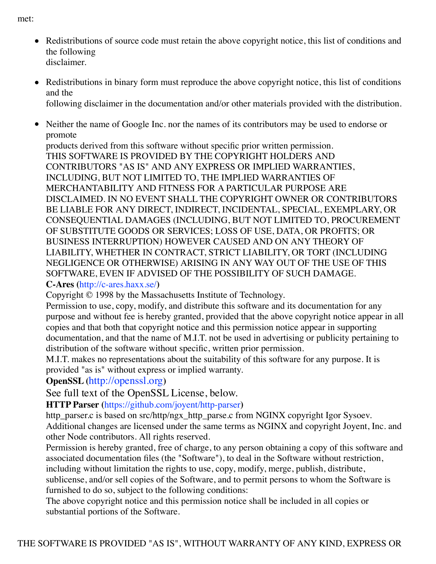met:

- Redistributions of source code must retain the above copyright notice, this list of conditions and the following disclaimer.
- Redistributions in binary form must reproduce the above copyright notice, this list of conditions and the following disclaimer in the documentation and/or other materials provided with the distribution.
- Neither the name of Google Inc. nor the names of its contributors may be used to endorse or promote

products derived from this software without specific prior written permission. THIS SOFTWARE IS PROVIDED BY THE COPYRIGHT HOLDERS AND CONTRIBUTORS "AS IS" AND ANY EXPRESS OR IMPLIED WARRANTIES, INCLUDING, BUT NOT LIMITED TO, THE IMPLIED WARRANTIES OF MERCHANTABILITY AND FITNESS FOR A PARTICULAR PURPOSE ARE DISCLAIMED. IN NO EVENT SHALL THE COPYRIGHT OWNER OR CONTRIBUTORS BE LIABLE FOR ANY DIRECT, INDIRECT, INCIDENTAL, SPECIAL, EXEMPLARY, OR CONSEQUENTIAL DAMAGES (INCLUDING, BUT NOT LIMITED TO, PROCUREMENT OF SUBSTITUTE GOODS OR SERVICES; LOSS OF USE, DATA, OR PROFITS; OR BUSINESS INTERRUPTION) HOWEVER CAUSED AND ON ANY THEORY OF LIABILITY, WHETHER IN CONTRACT, STRICT LIABILITY, OR TORT (INCLUDING NEGLIGENCE OR OTHERWISE) ARISING IN ANY WAY OUT OF THE USE OF THIS SOFTWARE, EVEN IF ADVISED OF THE POSSIBILITY OF SUCH DAMAGE. **C-Ares (**http://c-ares.haxx.se/**)**

Copyright © 1998 by the Massachusetts Institute of Technology.

Permission to use, copy, modify, and distribute this software and its documentation for any purpose and without fee is hereby granted, provided that the above copyright notice appear in all copies and that both that copyright notice and this permission notice appear in supporting documentation, and that the name of M.I.T. not be used in advertising or publicity pertaining to distribution of the software without specific, written prior permission.

M.I.T. makes no representations about the suitability of this software for any purpose. It is provided "as is" without express or implied warranty.

# **OpenSSL (**http://openssl.org**)**

See full text of the OpenSSL License, below.

**HTTP Parser (**https://github.com/joyent/http-parser**)**

http\_parser.c is based on src/http/ngx\_http\_parse.c from NGINX copyright Igor Sysoev. Additional changes are licensed under the same terms as NGINX and copyright Joyent, Inc. and other Node contributors. All rights reserved.

Permission is hereby granted, free of charge, to any person obtaining a copy of this software and associated documentation files (the "Software"), to deal in the Software without restriction, including without limitation the rights to use, copy, modify, merge, publish, distribute, sublicense, and/or sell copies of the Software, and to permit persons to whom the Software is furnished to do so, subject to the following conditions:

The above copyright notice and this permission notice shall be included in all copies or substantial portions of the Software.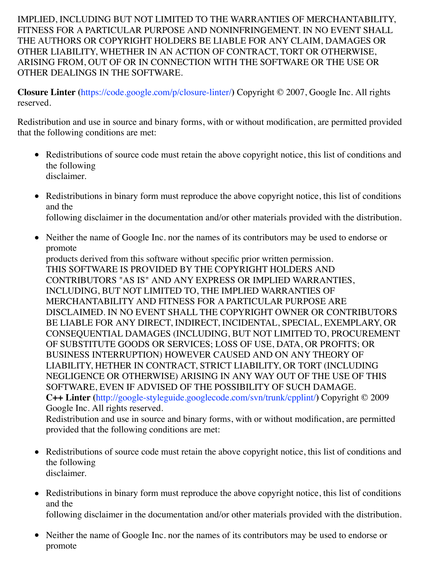IMPLIED, INCLUDING BUT NOT LIMITED TO THE WARRANTIES OF MERCHANTABILITY, FITNESS FOR A PARTICULAR PURPOSE AND NONINFRINGEMENT. IN NO EVENT SHALL THE AUTHORS OR COPYRIGHT HOLDERS BE LIABLE FOR ANY CLAIM, DAMAGES OR OTHER LIABILITY, WHETHER IN AN ACTION OF CONTRACT, TORT OR OTHERWISE, ARISING FROM, OUT OF OR IN CONNECTION WITH THE SOFTWARE OR THE USE OR OTHER DEALINGS IN THE SOFTWARE.

**Closure Linter (**https://code.google.com/p/closure-linter/**)** Copyright © 2007, Google Inc. All rights reserved.

Redistribution and use in source and binary forms, with or without modification, are permitted provided that the following conditions are met:

- Redistributions of source code must retain the above copyright notice, this list of conditions and the following disclaimer.
- Redistributions in binary form must reproduce the above copyright notice, this list of conditions and the following disclaimer in the documentation and/or other materials provided with the distribution.
- Neither the name of Google Inc. nor the names of its contributors may be used to endorse or promote

products derived from this software without specific prior written permission. THIS SOFTWARE IS PROVIDED BY THE COPYRIGHT HOLDERS AND CONTRIBUTORS "AS IS" AND ANY EXPRESS OR IMPLIED WARRANTIES, INCLUDING, BUT NOT LIMITED TO, THE IMPLIED WARRANTIES OF MERCHANTABILITY AND FITNESS FOR A PARTICULAR PURPOSE ARE DISCLAIMED. IN NO EVENT SHALL THE COPYRIGHT OWNER OR CONTRIBUTORS BE LIABLE FOR ANY DIRECT, INDIRECT, INCIDENTAL, SPECIAL, EXEMPLARY, OR CONSEQUENTIAL DAMAGES (INCLUDING, BUT NOT LIMITED TO, PROCUREMENT OF SUBSTITUTE GOODS OR SERVICES; LOSS OF USE, DATA, OR PROFITS; OR BUSINESS INTERRUPTION) HOWEVER CAUSED AND ON ANY THEORY OF LIABILITY, HETHER IN CONTRACT, STRICT LIABILITY, OR TORT (INCLUDING NEGLIGENCE OR OTHERWISE) ARISING IN ANY WAY OUT OF THE USE OF THIS SOFTWARE, EVEN IF ADVISED OF THE POSSIBILITY OF SUCH DAMAGE. **C++ Linter (**http://google-styleguide.googlecode.com/svn/trunk/cpplint/**)** Copyright © 2009 Google Inc. All rights reserved.

Redistribution and use in source and binary forms, with or without modification, are permitted provided that the following conditions are met:

- Redistributions of source code must retain the above copyright notice, this list of conditions and the following disclaimer.
- Redistributions in binary form must reproduce the above copyright notice, this list of conditions and the

following disclaimer in the documentation and/or other materials provided with the distribution.

• Neither the name of Google Inc. nor the names of its contributors may be used to endorse or promote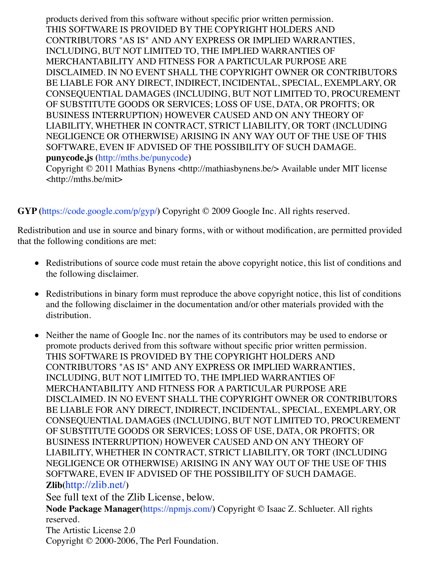products derived from this software without specific prior written permission. THIS SOFTWARE IS PROVIDED BY THE COPYRIGHT HOLDERS AND CONTRIBUTORS "AS IS" AND ANY EXPRESS OR IMPLIED WARRANTIES, INCLUDING, BUT NOT LIMITED TO, THE IMPLIED WARRANTIES OF MERCHANTABILITY AND FITNESS FOR A PARTICULAR PURPOSE ARE DISCLAIMED. IN NO EVENT SHALL THE COPYRIGHT OWNER OR CONTRIBUTORS BE LIABLE FOR ANY DIRECT, INDIRECT, INCIDENTAL, SPECIAL, EXEMPLARY, OR CONSEQUENTIAL DAMAGES (INCLUDING, BUT NOT LIMITED TO, PROCUREMENT OF SUBSTITUTE GOODS OR SERVICES; LOSS OF USE, DATA, OR PROFITS; OR BUSINESS INTERRUPTION) HOWEVER CAUSED AND ON ANY THEORY OF LIABILITY, WHETHER IN CONTRACT, STRICT LIABILITY, OR TORT (INCLUDING NEGLIGENCE OR OTHERWISE) ARISING IN ANY WAY OUT OF THE USE OF THIS SOFTWARE, EVEN IF ADVISED OF THE POSSIBILITY OF SUCH DAMAGE. **punycode.js (**http://mths.be/punycode**)**

Copyright © 2011 Mathias Bynens <http://mathiasbynens.be/> Available under MIT license <http://mths.be/mit>

**GYP (**https://code.google.com/p/gyp/**)** Copyright © 2009 Google Inc. All rights reserved.

promote

Redistribution and use in source and binary forms, with or without modification, are permitted provided that the following conditions are met:

- Redistributions of source code must retain the above copyright notice, this list of conditions and the following disclaimer.
- Redistributions in binary form must reproduce the above copyright notice, this list of conditions and the following disclaimer in the documentation and/or other materials provided with the distribution.
- Neither the name of Google Inc. nor the names of its contributors may be used to endorse or promote products derived from this software without specific prior written permission. THIS SOFTWARE IS PROVIDED BY THE COPYRIGHT HOLDERS AND CONTRIBUTORS "AS IS" AND ANY EXPRESS OR IMPLIED WARRANTIES, INCLUDING, BUT NOT LIMITED TO, THE IMPLIED WARRANTIES OF MERCHANTABILITY AND FITNESS FOR A PARTICULAR PURPOSE ARE DISCLAIMED. IN NO EVENT SHALL THE COPYRIGHT OWNER OR CONTRIBUTORS BE LIABLE FOR ANY DIRECT, INDIRECT, INCIDENTAL, SPECIAL, EXEMPLARY, OR CONSEQUENTIAL DAMAGES (INCLUDING, BUT NOT LIMITED TO, PROCUREMENT OF SUBSTITUTE GOODS OR SERVICES; LOSS OF USE, DATA, OR PROFITS; OR BUSINESS INTERRUPTION) HOWEVER CAUSED AND ON ANY THEORY OF LIABILITY, WHETHER IN CONTRACT, STRICT LIABILITY, OR TORT (INCLUDING NEGLIGENCE OR OTHERWISE) ARISING IN ANY WAY OUT OF THE USE OF THIS SOFTWARE, EVEN IF ADVISED OF THE POSSIBILITY OF SUCH DAMAGE. **Zlib(**http://zlib.net/**)**

See full text of the Zlib License, below.

**Node Package Manager(**https://npmjs.com/**)** Copyright © Isaac Z. Schlueter. All rights reserved.

The Artistic License 2.0 Copyright © 2000-2006, The Perl Foundation.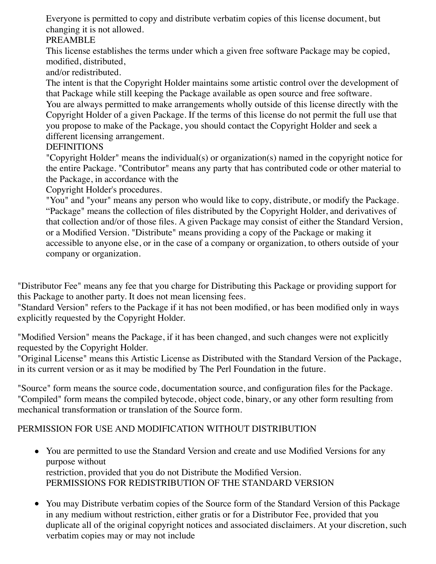Everyone is permitted to copy and distribute verbatim copies of this license document, but changing it is not allowed.

#### PREAMBLE

This license establishes the terms under which a given free software Package may be copied, modified, distributed,

and/or redistributed.

The intent is that the Copyright Holder maintains some artistic control over the development of that Package while still keeping the Package available as open source and free software.

You are always permitted to make arrangements wholly outside of this license directly with the Copyright Holder of a given Package. If the terms of this license do not permit the full use that you propose to make of the Package, you should contact the Copyright Holder and seek a different licensing arrangement.

**DEFINITIONS** 

"Copyright Holder" means the individual(s) or organization(s) named in the copyright notice for the entire Package. "Contributor" means any party that has contributed code or other material to the Package, in accordance with the

Copyright Holder's procedures.

"You" and "your" means any person who would like to copy, distribute, or modify the Package. "Package" means the collection of files distributed by the Copyright Holder, and derivatives of that collection and/or of those files. A given Package may consist of either the Standard Version, or a Modified Version. "Distribute" means providing a copy of the Package or making it accessible to anyone else, or in the case of a company or organization, to others outside of your company or organization.

"Distributor Fee" means any fee that you charge for Distributing this Package or providing support for this Package to another party. It does not mean licensing fees.

"Standard Version" refers to the Package if it has not been modified, or has been modified only in ways explicitly requested by the Copyright Holder.

"Modified Version" means the Package, if it has been changed, and such changes were not explicitly requested by the Copyright Holder.

"Original License" means this Artistic License as Distributed with the Standard Version of the Package, in its current version or as it may be modified by The Perl Foundation in the future.

"Source" form means the source code, documentation source, and configuration files for the Package. "Compiled" form means the compiled bytecode, object code, binary, or any other form resulting from mechanical transformation or translation of the Source form.

# PERMISSION FOR USE AND MODIFICATION WITHOUT DISTRIBUTION

- You are permitted to use the Standard Version and create and use Modified Versions for any purpose without restriction, provided that you do not Distribute the Modified Version. PERMISSIONS FOR REDISTRIBUTION OF THE STANDARD VERSION
- You may Distribute verbatim copies of the Source form of the Standard Version of this Package in any medium without restriction, either gratis or for a Distributor Fee, provided that you duplicate all of the original copyright notices and associated disclaimers. At your discretion, such verbatim copies may or may not include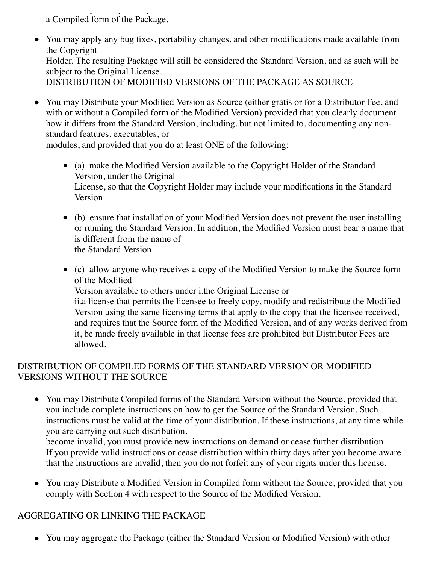verbatim copies may or may not include a Compiled form of the Package.

- You may apply any bug fixes, portability changes, and other modifications made available from the Copyright Holder. The resulting Package will still be considered the Standard Version, and as such will be subject to the Original License. DISTRIBUTION OF MODIFIED VERSIONS OF THE PACKAGE AS SOURCE
- You may Distribute your Modified Version as Source (either gratis or for a Distributor Fee, and with or without a Compiled form of the Modified Version) provided that you clearly document how it differs from the Standard Version, including, but not limited to, documenting any nonstandard features, executables, or

modules, and provided that you do at least ONE of the following:

- (a) make the Modified Version available to the Copyright Holder of the Standard Version, under the Original License, so that the Copyright Holder may include your modifications in the Standard Version.
- (b) ensure that installation of your Modified Version does not prevent the user installing or running the Standard Version. In addition, the Modified Version must bear a name that is different from the name of the Standard Version.

(c) allow anyone who receives a copy of the Modified Version to make the Source form of the Modified Version available to others under i.the Original License or ii.a license that permits the licensee to freely copy, modify and redistribute the Modified Version using the same licensing terms that apply to the copy that the licensee received, and requires that the Source form of the Modified Version, and of any works derived from it, be made freely available in that license fees are prohibited but Distributor Fees are allowed.

### DISTRIBUTION OF COMPILED FORMS OF THE STANDARD VERSION OR MODIFIED VERSIONS WITHOUT THE SOURCE

You may Distribute Compiled forms of the Standard Version without the Source, provided that you include complete instructions on how to get the Source of the Standard Version. Such instructions must be valid at the time of your distribution. If these instructions, at any time while you are carrying out such distribution,

become invalid, you must provide new instructions on demand or cease further distribution. If you provide valid instructions or cease distribution within thirty days after you become aware that the instructions are invalid, then you do not forfeit any of your rights under this license.

• You may Distribute a Modified Version in Compiled form without the Source, provided that you comply with Section 4 with respect to the Source of the Modified Version.

# AGGREGATING OR LINKING THE PACKAGE

You may aggregate the Package (either the Standard Version or Modified Version) with other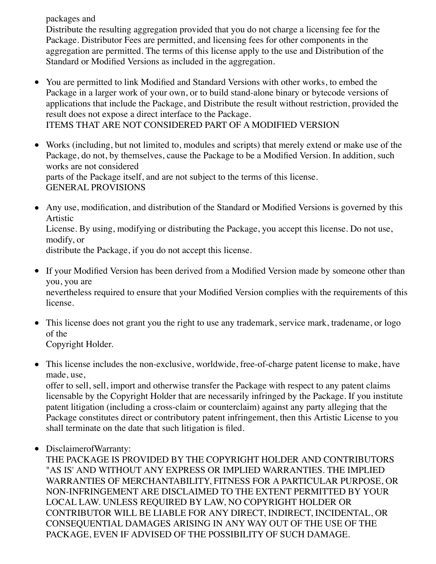packages and

Distribute the resulting aggregation provided that you do not charge a licensing fee for the Package. Distributor Fees are permitted, and licensing fees for other components in the aggregation are permitted. The terms of this license apply to the use and Distribution of the Standard or Modified Versions as included in the aggregation.

- You are permitted to link Modified and Standard Versions with other works, to embed the Package in a larger work of your own, or to build stand-alone binary or bytecode versions of applications that include the Package, and Distribute the result without restriction, provided the result does not expose a direct interface to the Package. ITEMS THAT ARE NOT CONSIDERED PART OF A MODIFIED VERSION
- Works (including, but not limited to, modules and scripts) that merely extend or make use of the Package, do not, by themselves, cause the Package to be a Modified Version. In addition, such works are not considered parts of the Package itself, and are not subject to the terms of this license. GENERAL PROVISIONS
- Any use, modification, and distribution of the Standard or Modified Versions is governed by this Artistic

License. By using, modifying or distributing the Package, you accept this license. Do not use, modify, or

distribute the Package, if you do not accept this license.

• If your Modified Version has been derived from a Modified Version made by someone other than you, you are

nevertheless required to ensure that your Modified Version complies with the requirements of this license.

• This license does not grant you the right to use any trademark, service mark, tradename, or logo of the

Copyright Holder.

This license includes the non-exclusive, worldwide, free-of-charge patent license to make, have made, use,

offer to sell, sell, import and otherwise transfer the Package with respect to any patent claims licensable by the Copyright Holder that are necessarily infringed by the Package. If you institute patent litigation (including a cross-claim or counterclaim) against any party alleging that the Package constitutes direct or contributory patent infringement, then this Artistic License to you shall terminate on the date that such litigation is filed.

DisclaimerofWarranty:

THE PACKAGE IS PROVIDED BY THE COPYRIGHT HOLDER AND CONTRIBUTORS "AS IS' AND WITHOUT ANY EXPRESS OR IMPLIED WARRANTIES. THE IMPLIED WARRANTIES OF MERCHANTABILITY, FITNESS FOR A PARTICULAR PURPOSE, OR NON-INFRINGEMENT ARE DISCLAIMED TO THE EXTENT PERMITTED BY YOUR LOCAL LAW. UNLESS REQUIRED BY LAW, NO COPYRIGHT HOLDER OR CONTRIBUTOR WILL BE LIABLE FOR ANY DIRECT, INDIRECT, INCIDENTAL, OR CONSEQUENTIAL DAMAGES ARISING IN ANY WAY OUT OF THE USE OF THE PACKAGE, EVEN IF ADVISED OF THE POSSIBILITY OF SUCH DAMAGE.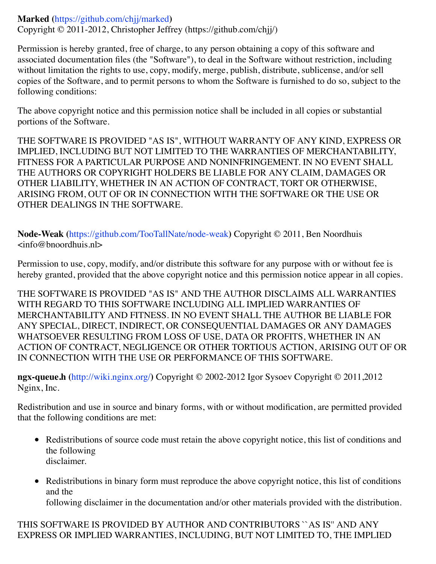#### **Marked (**https://github.com/chjj/marked**)**

Copyright © 2011-2012, Christopher Jeffrey (https://github.com/chjj/)

Permission is hereby granted, free of charge, to any person obtaining a copy of this software and associated documentation files (the "Software"), to deal in the Software without restriction, including without limitation the rights to use, copy, modify, merge, publish, distribute, sublicense, and/or sell copies of the Software, and to permit persons to whom the Software is furnished to do so, subject to the following conditions:

The above copyright notice and this permission notice shall be included in all copies or substantial portions of the Software.

THE SOFTWARE IS PROVIDED "AS IS", WITHOUT WARRANTY OF ANY KIND, EXPRESS OR IMPLIED, INCLUDING BUT NOT LIMITED TO THE WARRANTIES OF MERCHANTABILITY, FITNESS FOR A PARTICULAR PURPOSE AND NONINFRINGEMENT. IN NO EVENT SHALL THE AUTHORS OR COPYRIGHT HOLDERS BE LIABLE FOR ANY CLAIM, DAMAGES OR OTHER LIABILITY, WHETHER IN AN ACTION OF CONTRACT, TORT OR OTHERWISE, ARISING FROM, OUT OF OR IN CONNECTION WITH THE SOFTWARE OR THE USE OR OTHER DEALINGS IN THE SOFTWARE.

**Node-Weak (**https://github.com/TooTallNate/node-weak**)** Copyright © 2011, Ben Noordhuis <info@bnoordhuis.nl>

Permission to use, copy, modify, and/or distribute this software for any purpose with or without fee is hereby granted, provided that the above copyright notice and this permission notice appear in all copies.

THE SOFTWARE IS PROVIDED "AS IS" AND THE AUTHOR DISCLAIMS ALL WARRANTIES WITH REGARD TO THIS SOFTWARE INCLUDING ALL IMPLIED WARRANTIES OF MERCHANTABILITY AND FITNESS. IN NO EVENT SHALL THE AUTHOR BE LIABLE FOR ANY SPECIAL, DIRECT, INDIRECT, OR CONSEQUENTIAL DAMAGES OR ANY DAMAGES WHATSOEVER RESULTING FROM LOSS OF USE, DATA OR PROFITS, WHETHER IN AN ACTION OF CONTRACT, NEGLIGENCE OR OTHER TORTIOUS ACTION, ARISING OUT OF OR IN CONNECTION WITH THE USE OR PERFORMANCE OF THIS SOFTWARE.

**ngx-queue.h (**http://wiki.nginx.org/**)** Copyright © 2002-2012 Igor Sysoev Copyright © 2011,2012 Nginx, Inc.

Redistribution and use in source and binary forms, with or without modification, are permitted provided that the following conditions are met:

- Redistributions of source code must retain the above copyright notice, this list of conditions and the following disclaimer.
- Redistributions in binary form must reproduce the above copyright notice, this list of conditions and the following disclaimer in the documentation and/or other materials provided with the distribution.

THIS SOFTWARE IS PROVIDED BY AUTHOR AND CONTRIBUTORS ``AS IS'' AND ANY EXPRESS OR IMPLIED WARRANTIES, INCLUDING, BUT NOT LIMITED TO, THE IMPLIED